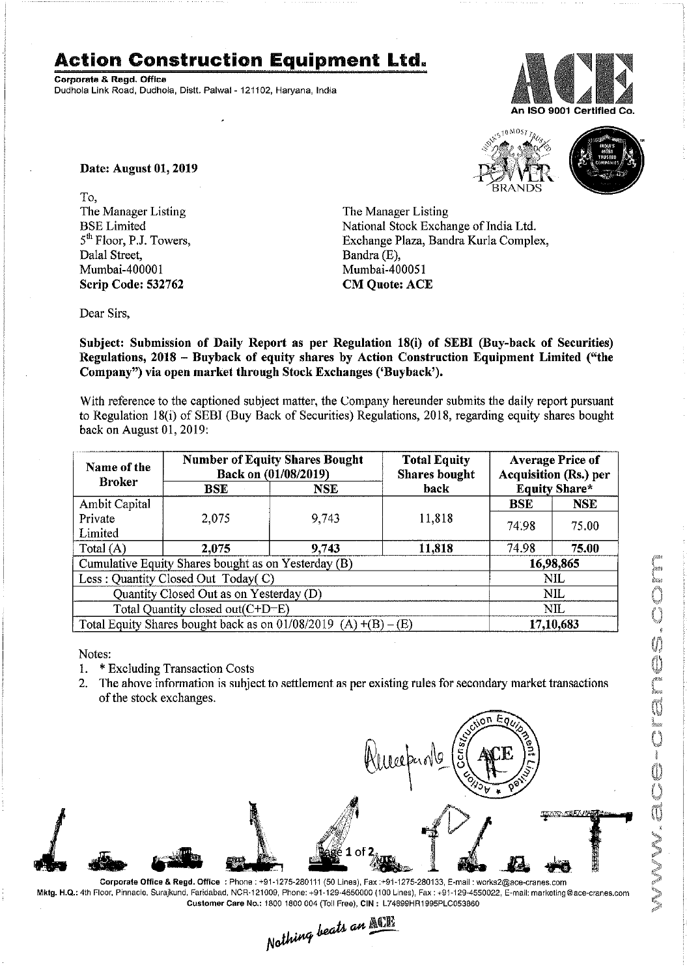## **Action Construction Equipment Ltd.**

Corporate & Regd, Office Dudhola Link Road, Dudhola, Distt. Palwal-121102, Haryana, India



0 MOS7



Date: August 01, 2019

To, The Manager Listing BSE Limited 5<sup>th</sup> Floor, P.J. Towers, Dalal Street, Mumbai-400001 Scrip Code: 532762

The Manager Listing National Stock Exchange of India Ltd. Exchange Plaza, Bandra Kurla Complex, Bandra(E), Mumbai-400051 CM Quote: ACE

Dear Sirs,

Subject: Submission of Daily Report as per Regulation 18(i) of SEBI (Buy-back of Securities) Regulations, 2018 - Buyback of equity shares by Action Construction Equipment Limited ('"the Company") via open market through Stock Exchanges ('Buyback').

With reference to the captioned subject matter, the Company hereunder submits the daily report pursuant to Regulation 18(i) of SEBI (Buy Back of Securities) Regulations, 2018, regarding equity shares bought back on August 01, 2019:

| Name of the<br><b>Broker</b>                                      | <b>Number of Equity Shares Bought</b><br>Back on (01/08/2019) |            | <b>Total Equity</b><br><b>Shares bought</b> | <b>Average Price of</b><br><b>Acquisition (Rs.) per</b> |            |  |
|-------------------------------------------------------------------|---------------------------------------------------------------|------------|---------------------------------------------|---------------------------------------------------------|------------|--|
|                                                                   | <b>BSE</b>                                                    | <b>NSE</b> | <b>back</b>                                 | <b>Equity Share*</b>                                    |            |  |
| Ambit Capital                                                     |                                                               |            |                                             | <b>BSE</b>                                              | <b>NSE</b> |  |
| Private                                                           | 2,075                                                         | 9,743      | 11,818                                      | 74.98                                                   | 75.00      |  |
| Limited                                                           |                                                               |            |                                             |                                                         |            |  |
| Total $(A)$                                                       | 2,075                                                         | 9,743      | 11,818                                      | 74.98                                                   | 75.00      |  |
| Cumulative Equity Shares bought as on Yesterday (B)               |                                                               |            |                                             |                                                         | 16,98,865  |  |
| Less : Quantity Closed Out Today(C)                               |                                                               |            |                                             | NIL                                                     |            |  |
| Quantity Closed Out as on Yesterday (D)                           |                                                               |            |                                             | NIL                                                     |            |  |
| Total Quantity closed out(C+D-E)                                  |                                                               |            |                                             |                                                         | NIL        |  |
| Total Equity Shares bought back as on $01/08/2019$ (A) +(B) – (E) |                                                               |            |                                             | 17,10,683                                               |            |  |

Notes:

- 1. \* Excluding Transaction Costs
- 2. The above information is subject to settlement as per existing rules for secondary market transactions of the stock exchanges.



Mktg. H.Q.: 4th Floor, Pinnacle, Surajkund, Faridabad, NCR-121009, Phone: +91-129-4550000 (100 Lines), Fax: +91-129-4550022, E-mail: marketing@ace-cranes.com

Customer Care No.: 1800 1800 004 (Toll Free), CIN: L74899HR1995PLC053860<br>Nathing beats an **Malli**